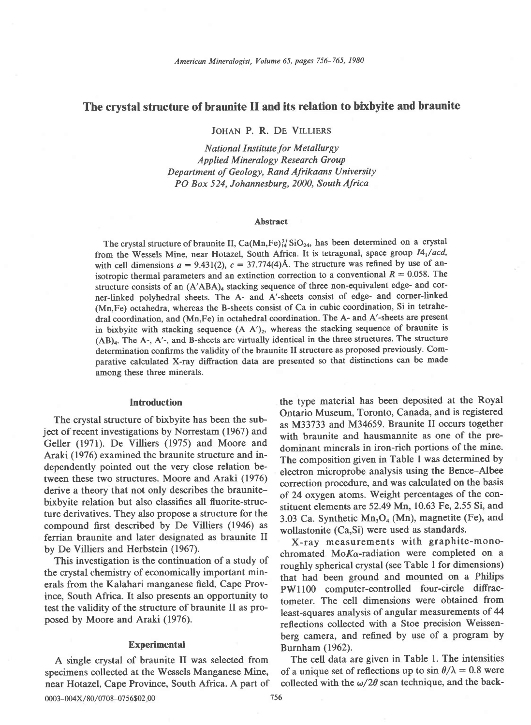# The crystal structure of braunite II and its relation to bixbyite and braunite

JOHAN P. R. DE VILLIERS

National Institute for Metallurgy Applied Mineralogy Research Group Department of Geology, Rand Afrikaans University PO Box 524, Johannesburg, 2000, South Africa

#### Abstract

The crystal structure of braunite II, Ca(Mn,Fe)<sup>3+</sup>SiO<sub>24</sub>, has been determined on a crystal from the Wessels Mine, near Hotazel, South Africa. It is tetragonal, space group  $I4_1/acd$ , with cell dimensions  $a = 9.431(2)$ ,  $c = 37.774(4)$ Å. The structure was refined by use of anisotropic thermal parameters and an extinction correction to a conventional  $R = 0.058$ . The structure consists of an (A'ABA)<sub>4</sub> stacking sequence of three non-equivalent edge- and corner-linked polyhedral sheets. The A- and A'-sheets consist of edge- and corner-linked (Mn,Fe) octahedra, whereas the B-sheets consist of Ca in cubic coordination, Si in tetrahedral coordination, and (Mn,Fe) in octahedral coordination. The A- and A'-sheets are present in bixbyite with stacking sequence  $(A \tA')_2$ , whereas the stacking sequence of braunite is  $(AB)_4$ . The A-, A'-, and B-sheets are virtually identical in the three structures. The structure determination confirms the validity of the braunite II structure as proposed previously. Comparative calculated X-ray diffraction data are presented so that distinctions can be made among these three minerals.

## Introduction

The crystal structure of bixbyite has been the subject of recent investigations by Norrestam (1967) and Geller (1971). De Villiers (1975) and Moore and Araki (1976) examined the braunite structure and independently pointed out the very close relation between these two structures. Moore and Araki (1976) derive a theory that not only describes the braunitebixbyite relation but also classifies all fluorite-structure derivatives. They also propose a structure for the compound first described by De Villiers (1946) as ferrian braunite and later designated as braunite II by De Villiers and Herbstein (1967).

This investigation is the continuation of a study of the crystal chemistry of economically important minerals from the Kalahari manganese field, Cape Province, South Africa. It also presents an opportunity to test the validity of the structure of braunite II as proposed by Moore and Araki (1976).

### Experimental

A single crystal of braunite II was selected from specimens collected at the Wessels Manganese Mine, near Hotazel, Cape Province, South Africa. A part of the type material has been deposited at the Royal Ontario Museum, Toronto, Canada, and is registered as M33733 and M34659. Braunite II occurs together with braunite and hausmannite as one of the predominant minerals in iron-rich portions of the mine. The composition given in Table I was determined by electron microprobe analysis using the Bence-Albee correction procedure, and was calculated on the basis of 24 oxygen atoms. Weight percentages of the constituent elements are 52.49 Mn, 10.63 Fe, 2.55 Si, and 3.03 Ca. Synthetic  $Mn_3O_4$  (Mn), magnetite (Fe), and wollastonite (Ca,Si) were used as standards.

X-ray measurements with graphite-monochromated MoKa-radiation were completed on a roughly spherical crystal (see Table I for dinensions) that had been ground and mounted on a Philips PWll00 computer-controlled four-circle diffractometer. The cell dimensions were obtained from least-squares analysis of angular measurements of 44 reflections collected with a Stoe precision Weissenberg camera, and refined by use of a program by Burnham (1962).

The cell data are given in Table 1. The intensities of a unique set of reflections up to  $\sin \theta/\lambda = 0.8$  were collected with the  $\omega/2\theta$  scan technique, and the back-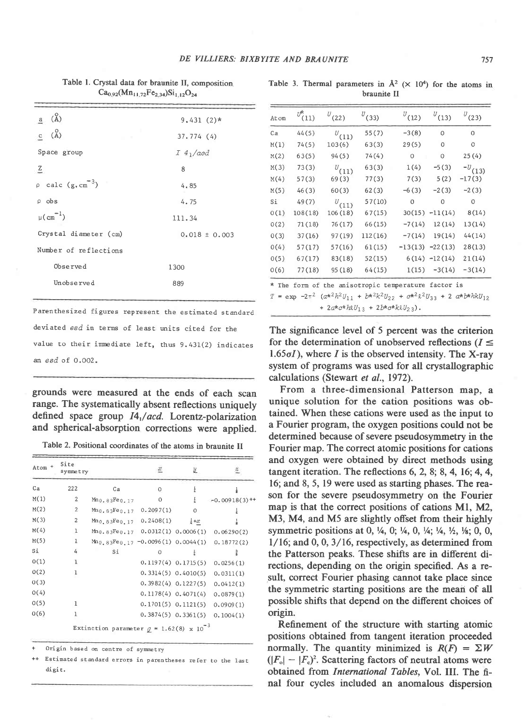$a \left(\stackrel{0}{A}\right)$  $9.431(2)*$ c  $(A)$  $37.774(4)$ Space group  $I_4_1/a$ cd  $\rm{Z}$  $\overline{8}$ calc  $(g, cm^{-3})$  $\Omega$  $4.85$  $\rho$  obs  $4.75$  $\mu$ (cm<sup>-1</sup>) 111.34 Crystal diameter (cm)  $0.018 \pm 0.003$ Number of reflections Observed  $1300$ Unobserved 889

Table 1. Crystal data for braunite II, composition  $Ca_{0.92}(Mn_{11.72}Fe_{2.34})Si_{1.12}O_{24}$ 

Parenthesized figures represent the estimated standard deviated esd in terms of least units cited for the value to their immediate left, thus 9.431(2) indicates an esd of 0.002.

grounds were measured at the ends of each scan range. The systematically absent reflections uniquely defined space group I4,/acd. Lorentz-polarization and spherical-absorption corrections were applied.

Table 2. Positional coordinates of the atoms in braunite II

| Atom + | Site<br><b>Symmetry</b> |                                                   |           | 还                       |                             |
|--------|-------------------------|---------------------------------------------------|-----------|-------------------------|-----------------------------|
| Ca     | 222                     | Ca                                                | $\circ$   | ŧ                       |                             |
| M(1)   | $\overline{2}$          | $Mn_0, 83Fe_0, 17$                                | $\Omega$  | ł                       | $-0.00918(3)$ <sup>++</sup> |
| M(2)   | $\overline{2}$          | $Mn_0, 83Fe_0, 17$                                | 0.2097(1) | $\circ$                 |                             |
| M(3)   | 2                       | $Mn_0$ , 83Fe <sub>0</sub> , 17 0.2408(1)         |           | $\frac{1}{4} + x$       |                             |
| M(4)   | 1                       | $Mn_0.83Fe0.17$ $0.0312(1)$ $0.0006(1)$           |           |                         | 0.06290(2)                  |
| M(5)   | $\mathbf{1}$            | $Mn_0$ , 83 $Fe$ 0, 17 -0.0096(1) 0.0044(1)       |           |                         | 0.18772(2)                  |
| Si     | 4                       | Si                                                | $\Omega$  | ŧ                       | $\frac{3}{8}$               |
| 0(1)   | I                       |                                                   |           | $0.1197(4)$ $0.1715(5)$ | 0.0256(1)                   |
| O(2)   | 1                       |                                                   |           | $0.3314(5)$ $0.4010(5)$ | 0.0311(1)                   |
| 0(3)   |                         |                                                   |           | $0.3982(4)$ $0.1227(5)$ | 0.0412(1)                   |
| O(4)   |                         |                                                   |           | $0.1178(4)$ $0.4071(4)$ | 0.0879(1)                   |
| O(5)   | 1                       |                                                   |           | $0.1701(5)$ $0.1121(5)$ | 0.0909(1)                   |
| 0(6)   | 1                       |                                                   |           | $0.3874(5)$ $0.3361(5)$ | 0.1004(1)                   |
|        |                         | Extinction parameter $g = 1.62(8) \times 10^{-3}$ |           |                         |                             |

Origin based on centre of symmetry

Estimated standard errors in parentheses refer to the last digit.

|  | Table 3. Thermal parameters in $A^2$ ( $\times$ 10 <sup>4</sup> ) for the atoms in |  |  |  |  |
|--|------------------------------------------------------------------------------------|--|--|--|--|
|  | braunite II                                                                        |  |  |  |  |

| Atom | $U_{(11)}^k$ | $U_{(22)}$ | $U_{(33)}$ | $U_{(12)}$ | $U_{(13)}$        | $U_{(23)}$     |
|------|--------------|------------|------------|------------|-------------------|----------------|
| Ca   | 44(5)        | $v_{(11)}$ | 55(7)      | $-3(8)$    | 0                 | $\overline{O}$ |
| M(1) | 74(5)        | 103(6)     | 63(3)      | 29(5)      | 0                 | 0              |
| M(2) | 63(5)        | 94(5)      | 74(4)      | $\circ$    | 0                 | 25(4)          |
| M(3) | 73(3)        | $U_{(11)}$ | 63(3)      | 1(4)       | $-5(3)$           | $^{-U}(13)$    |
| M(4) | 57(3)        | 69(3)      | 77(3)      | 7(3)       | 5(2)              | $-17(3)$       |
| M(5) | 46(3)        | 60(3)      | 62(3)      | $-6(3)$    | $-2(3)$           | $-2(3)$        |
| Si   | 49(7)        | $U_{(11)}$ | 57(10)     | $\Omega$   | $\Omega$          | $\circ$        |
| 0(1) | 108(18)      | 106(18)    | 67(15)     |            | $30(15) -11(14)$  | 8(14)          |
| O(2) | 71(18)       | 76(17)     | 66(15)     | $-7(14)$   | 12(14)            | 13(14)         |
| O(3) | 37(16)       | 97(19)     | 112(16)    | $-7(14)$   | 19(14)            | 44(14)         |
| 0(4) | 57(17)       | 57(16)     | 61(15)     |            | $-13(13) -22(13)$ | 28(13)         |
| 0(5) | 67(17)       | 83(18)     | 52(15)     |            | $6(14) -12(14)$   | 21(14)         |
| 0(6) | 77(18)       | 95(18)     | 64(15)     |            | $1(15) -3(14)$    | $-3(14)$       |

The significance level of 5 percent was the criterion for the determination of unobserved reflections ( $I \leq$  $1.65\sigma$ *I*), where *I* is the observed intensity. The X-ray system of programs was used for all crystallographic calculations (Stewart et al., 1972).

From a three-dimensional Patterson map, a unique solution for the cation positions was obtained. When these cations were used as the input to a Fourier program, the oxygen positions could not be determined because of severe pseudosymmetry in the Fourier map. The correct atomic positions for cations and oxygen were obtained by direct methods using tangent iteration. The reflections  $6, 2, 8, 8, 4, 16, 4, 4,$ 16; and 8, 5, 19 were used as starting phases. The reason for the severe pseudosymmetry on the Fourier map is that the correct positions of cations M1, M2, M3, M4, and M5 are slightly offset from their highly symmetric positions at 0,  $\frac{1}{4}$ , 0;  $\frac{1}{4}$ , 0,  $\frac{1}{4}$ ;  $\frac{1}{4}$ ,  $\frac{1}{2}$ ,  $\frac{1}{8}$ ; 0, 0,  $1/16$ ; and 0, 0, 3/16, respectively, as determined from the Patterson peaks. These shifts are in different directions, depending on the origin specified. As a result, correct Fourier phasing cannot take place since the symmetric starting positions are the mean of all possible shifts that depend on the different choices of origin.

Refinement of the structure with starting atomic positions obtained from tangent iteration proceeded normally. The quantity minimized is  $R(F) = \Sigma W$  $(|F_{\rm o}| - |F_{\rm c}|^2)$ . Scattering factors of neutral atoms were obtained from International Tables, Vol. III. The final four cycles included an anomalous dispersion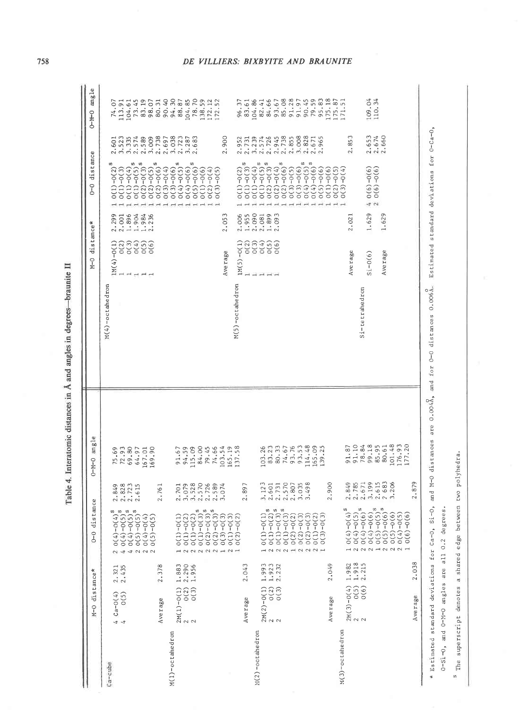| Ξ                                        |
|------------------------------------------|
| Ì                                        |
|                                          |
| ś                                        |
|                                          |
| l,<br>Í<br>b                             |
|                                          |
| $\frac{1}{2}$                            |
| $\overline{\phantom{a}}$<br>ا<br>المنابع |
|                                          |
| Į                                        |
|                                          |
| $\overline{\phantom{a}}$                 |
| ś<br>J                                   |
|                                          |
| l                                        |
| I                                        |
| $\ddot{\phantom{a}}$                     |
|                                          |
| ADIC                                     |
| Table                                    |
|                                          |

|                    | M-0 distance*                                                                                | distance<br>$0 - 0$                                                                                                                                                                                                                                                                                                                                                                                                                                                                          |                                                                                               | $O-M-O$ angle                                                                       |                                                                                       | M-O distance*                                                                                                                                        |                                                   | 0-0 distance                                                                                                                                                                                                                                                                                                                                                                                                           |                                                                                                  | 0-M-0 angle                                                                                                                                                                                                                                                                                         |
|--------------------|----------------------------------------------------------------------------------------------|----------------------------------------------------------------------------------------------------------------------------------------------------------------------------------------------------------------------------------------------------------------------------------------------------------------------------------------------------------------------------------------------------------------------------------------------------------------------------------------------|-----------------------------------------------------------------------------------------------|-------------------------------------------------------------------------------------|---------------------------------------------------------------------------------------|------------------------------------------------------------------------------------------------------------------------------------------------------|---------------------------------------------------|------------------------------------------------------------------------------------------------------------------------------------------------------------------------------------------------------------------------------------------------------------------------------------------------------------------------------------------------------------------------------------------------------------------------|--------------------------------------------------------------------------------------------------|-----------------------------------------------------------------------------------------------------------------------------------------------------------------------------------------------------------------------------------------------------------------------------------------------------|
| Ca-cube            | $2.321$<br>$2.435$<br>$4 \begin{pmatrix} 4 & 0 & 4 \\ 4 & 0 & 5 \end{pmatrix}$               | $\begin{array}{l} 2\ 0\,(\Lambda)-0\,(\Lambda)^3\\ 4\ 0\,(\Lambda)-0\,(5)\,s\\ 4\ 0\,(\Lambda)-0\,(5)\,s\\ 2\ 0\,(\Lambda)-0\,(5)\,s\\ 2\ 0\,(3)\,0\,(4)\\ 2\ 0\,(4)\,0\,(4)\\ 2\ 0\,(5)\,0\,(5)\\ \end{array}$                                                                                                                                                                                                                                                                              | 2.849<br>2.828<br>2.723<br>2.615                                                              | 75.69<br>72.93<br>69.80<br>64.97                                                    | M(4)-octahedron                                                                       | $\begin{smallmatrix} 2 & 0 & 0 & 0 \\ 0 & 0 & 0 & 0 \\ 0 & 0 & 0 & 0 \end{smallmatrix}$<br>$IM(4)-O(1)$<br>$\rightarrow$<br>$\overline{\phantom{a}}$ | $2.299$<br>$2.301$<br>$2.304$<br>$2.35$<br>$2.35$ | $\begin{array}{c} 0(1) - 0(3) \\ 0(1) - 0(4) \\ 0(1) - 0(5) \\ 0(2) - 0(3) \\ 0(2) - 0(3) \\ \end{array}$<br>$0(1)-0(2)^5$                                                                                                                                                                                                                                                                                             | 3.523<br>2.601<br>3, 335                                                                         | 74.07<br>113.91                                                                                                                                                                                                                                                                                     |
| M(1)-octahedron    | 2.378<br>Average                                                                             |                                                                                                                                                                                                                                                                                                                                                                                                                                                                                              | 2,761                                                                                         | 167.01<br>169.90                                                                    |                                                                                       | O(6)<br>$- - - -$                                                                                                                                    |                                                   | $\begin{array}{c} 0(2)-0(5)\\0(2)-0(6)\\0(3)-0(4)\\0(3)-0(6)\\0(3) \end{array}$<br>$O(4) - O(5)^8$                                                                                                                                                                                                                                                                                                                     | 2.738<br>2,697<br>$2.574$<br>2.589<br>3,009                                                      | $\begin{array}{l} 104.61 \\ 17.49 \\ 18.80 \\ 19.49 \\ 19.50 \\ 19.50 \\ 19.50 \\ 19.50 \\ 19.50 \\ 19.50 \\ 19.50 \\ 19.50 \\ 19.50 \\ 19.50 \\ 19.50 \\ 19.50 \\ 19.50 \\ 19.50 \\ 19.50 \\ 19.50 \\ 19.50 \\ 19.50 \\ 19.50 \\ 19.50 \\ 19.50 \\ 19.50 \\ 19.50 \\ 19.50 \\ 19.50 \\ 19.50 \\ 1$ |
|                    | $1.883$<br>$2.290$<br>$1.956$<br>$2M(1)-O(1)$<br>$2$ $O(2)$<br>$2$ $O(3)$                    | $\begin{array}{l} \mathbf{C} \\ \mathbf{C} \\ \mathbf{C} \\ \mathbf{C} \\ \mathbf{C} \\ \mathbf{C} \\ \mathbf{C} \\ \mathbf{C} \\ \mathbf{C} \\ \mathbf{C} \\ \mathbf{C} \\ \mathbf{C} \\ \mathbf{C} \\ \mathbf{C} \\ \mathbf{C} \\ \mathbf{C} \\ \mathbf{C} \\ \mathbf{C} \\ \mathbf{C} \\ \mathbf{C} \\ \mathbf{C} \\ \mathbf{C} \\ \mathbf{C} \\ \mathbf{C} \\ \mathbf{C} \\ \mathbf{C} \\ \mathbf{C} \\ \mathbf{C} \\ \mathbf{C} \\ \mathbf{C} \\ \mathbf$<br>$\sim 0.02$<br>2<br>$\sim$ | $3.528$ $3.726$ $3.789$ $3.1570$ $3.074$<br>2.701<br>3.079                                    | 84.00<br>79.45<br>74.66<br>115.09<br>103.54<br>165.19<br>91.67<br>94.59             |                                                                                       | Ave rage                                                                                                                                             | 2.053                                             | $0(4)-0(6)$<br>$0(5)-0(6)$ <sup>s</sup><br>$0(1)-0(6)$<br>$0(2)-0(4)$<br>$O(3)-O(5)$                                                                                                                                                                                                                                                                                                                                   | $3.723$<br>$2.723$<br>$3.287$<br>$2.683$<br>2.900                                                | 138.59<br>172.12<br>172.52                                                                                                                                                                                                                                                                          |
|                    | 2.043<br>Average                                                                             | $\sim$ $-$                                                                                                                                                                                                                                                                                                                                                                                                                                                                                   | 2.897                                                                                         | 137.58                                                                              | M(5)-octahedron                                                                       | $IM(5) - O(1)$<br>0(2)                                                                                                                               | 2.006<br>1.955                                    |                                                                                                                                                                                                                                                                                                                                                                                                                        | 2.952<br>2.731                                                                                   | 96.37<br>83.61                                                                                                                                                                                                                                                                                      |
| $M(2)$ -octahedron | 1.993<br>1.923<br>2.049<br>2.232<br>$2M(2)-O(1)$<br>O(2)<br>O(3)<br>Average<br>$\sim$ $\sim$ |                                                                                                                                                                                                                                                                                                                                                                                                                                                                                              | $\begin{array}{c} 3.123 \\ 2.601 \\ 2.731 \\ \end{array}$<br>2.807<br>3.035<br>3.498<br>2.900 | 114.48<br>$103.26$<br>83.23<br>80.33<br>74.67<br>93.76<br>93.53<br>165.09<br>139.25 |                                                                                       | $\begin{array}{c}\n 3 \\  0 \\  0 \\  0 \\  0 \\  0 \\  0 \\  0 \\  0 \\  0 \\  0\n \end{array}$<br>$-1$ $-1$ $-1$ $-1$                              | $2.090$<br>$2.081$<br>$1.899$<br>$2.093$          | $\begin{array}{l} 0(1)\\ 0(3)\\ 0(1)\\ 0(1)\\ 0(1)\\ 0(1)\\ 0(2)\\ 0(3)\\ 0(3)\\ 0(3)\\ 0(2)\\ 0(3)\\ 0(4)\\ 0(5)\\ 0(5)\\ 0(6)\\ 0(7)\\ 0(8)\\ 0(9)\\ 0(1)\\ 0(1)\\ 0(2)\\ 0(3)\\ 0(4)\\ 0(5)\\ 0(5)\\ 0(6)\\ 0(7)\\ 0(8)\\ 0(9)\\ 0(9)\\ 0(1)\\ 0(1)\\ 0(1)\\ 0(1)\\ 0($<br>$o(2)-o(6)^{s}$<br>$o(3)-o(5)$<br>$0(3)-0(6)$<br>0(4) -0(5) <sup>8</sup><br>$0(4)-0(6)^{5}$<br>$O(5)-O(6)$<br>$O(1)-O(6)$<br>$O(2)-O(5)$ | 2.726<br>2.945<br>2.738<br>2.855<br>$3.008$<br>$2.828$<br>$2.671$<br>2.965<br>$3.239$<br>$2.574$ | 104.86<br>82.41<br>84.66<br>93.67<br>85.08<br>91.28<br>$90.45$<br>$79.59$<br>$95.83$<br>$175.87$<br>$175.87$<br>$175.51$<br>91.97                                                                                                                                                                   |
| M(3)-octahedron    | 1.918<br>2.215<br>1.982<br>$2M(3)-O(4)$<br>$0(5)$<br>$0(6)$<br>$\sim$ $\sim$                 | $O(4)-O(4)^5$                                                                                                                                                                                                                                                                                                                                                                                                                                                                                |                                                                                               | 91.10<br>78.84<br>91.87                                                             | Si-tetrahedron                                                                        | Ave rage                                                                                                                                             | 2.021                                             | $O(3) - O(4)$                                                                                                                                                                                                                                                                                                                                                                                                          | 2.853                                                                                            |                                                                                                                                                                                                                                                                                                     |
|                    |                                                                                              | $\begin{array}{l} 2\  \  0\ (4) -0\ (5)\\ 2\  \  0\ (4) -0\ (6)\\ 3\  \  2\  \  0\ (4) -0\ (6)\\ 4\  \  0\ (5) -0\ (5)\\ 5\  \  0\ (5) -0\ (5)\\ 2\  \  0\ (5) -0\ (6)\\ 2\  \  0\ (5) -0\ (6)\\ 2\  \  0\ (5) -0\ (5)\\ 3\  \  0\ (5) -0\ (5)\\ 4\  \  0\ (5) -0\ (5)\\ 5\  \  0\ (5) -0\ (5$<br>$-0(6)$<br>O(6)                                                                                                                                                                            | $2.849$<br>$2.785$<br>$2.671$<br>$2.683$<br>$2.683$<br>$2.683$<br>$2.683$                     | 99.18<br>101.48<br>176.93<br>177.20<br>85.95<br>80.61                               |                                                                                       | Average<br>$Si - O(6)$                                                                                                                               | 1.629<br>1.629                                    | $40(6)-0(6)$<br>$20(6)-0(6)$                                                                                                                                                                                                                                                                                                                                                                                           | 2.653<br>2.674<br>2.660                                                                          | 109.04                                                                                                                                                                                                                                                                                              |
|                    | 2.038<br>Average                                                                             |                                                                                                                                                                                                                                                                                                                                                                                                                                                                                              | 2.879                                                                                         |                                                                                     |                                                                                       |                                                                                                                                                      |                                                   |                                                                                                                                                                                                                                                                                                                                                                                                                        |                                                                                                  |                                                                                                                                                                                                                                                                                                     |
|                    | * Estimated standard deviations for Ca-O,                                                    |                                                                                                                                                                                                                                                                                                                                                                                                                                                                                              |                                                                                               |                                                                                     | Si-O, and M-O distances are 0.004 $\lambda$ , and for 0-O distances 0.006 $\lambda$ . |                                                                                                                                                      |                                                   | Estimated standard deviations for O-Ca-O,                                                                                                                                                                                                                                                                                                                                                                              |                                                                                                  |                                                                                                                                                                                                                                                                                                     |

S The superscript denotes a shared edge between two polyhedra.

0-Si-0, and 0-M-0 angles are all 0.2 degrees.

DE VILLIERS: BIXBYITE AND BRAUNITE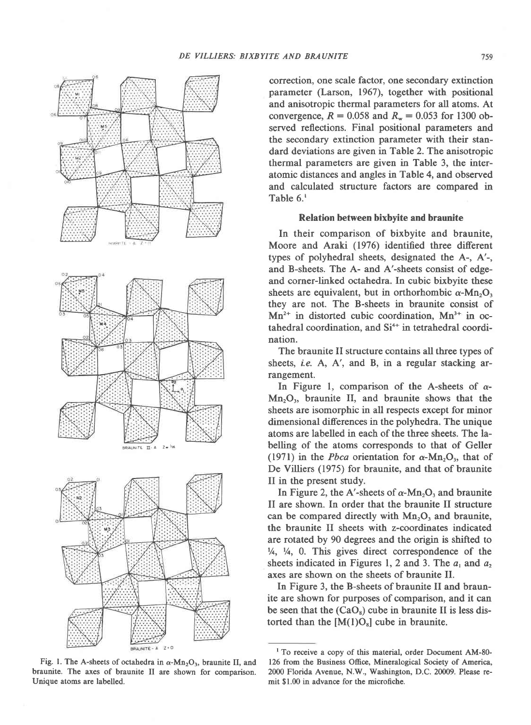

Fig. 1. The A-sheets of octahedra in  $\alpha$ -Mn<sub>2</sub>O<sub>3</sub>, braunite II, and braunite. The axes of braunite II are shown for comparison. Unique atoms are labelled.

correction, one scale factor, one secondary extinction parameter (Larson, 1967), together with positional and anisotropic thermal parameters for all atoms. At convergence,  $R = 0.058$  and  $R_w = 0.053$  for 1300 observed reflections. Final positional parameters and the secondary extinction parameter with their standard deviations are given in Table 2. The anisotropic thermal parameters are given in Table 3, the interatomic distances and angles in Table 4, and observed and calculated structure factors are compared in Table 6.'

#### Relation between bixbyite and braunite

In their comparison of bixbyite and braunite, Moore and Araki (1976) identified three different types of polyhedral sheets, designated the A-, A'-, and B-sheets. The A- and A'-sheets consist of edgeand corner-linked octahedra. In cubic bixbyite these sheets are equivalent, but in orthorhombic  $\alpha$ -Mn<sub>2</sub>O<sub>2</sub> they are not. The B-sheets in braunite consist of  $Mn^{2+}$  in distorted cubic coordination.  $Mn^{3+}$  in octahedral coordination, and Si<sup>4+</sup> in tetrahedral coordination.

The braunite II structure contains all three types of sheets, *i.e.* A, A', and B, in a regular stacking arrangement.

In Figure 1, comparison of the A-sheets of  $\alpha$ - $Mn_2O_3$ , braunite II, and braunite shows that the sheets are isomorphic in all respects except for minor dimensional diferences in the polyhedra. The unique atoms are labelled in each of the three sheets. The labelling of the atoms corresponds to that of Geller (1971) in the *Pbca* orientation for  $\alpha$ -Mn<sub>2</sub>O<sub>3</sub>, that of De Villiers (1975) for braunite, and that of braunite II in the present study.

In Figure 2, the A'-sheets of  $\alpha$ -Mn<sub>2</sub>O<sub>3</sub> and braunite II are shown. In order that the braunite II structure can be compared directly with  $Mn_2O_3$  and braunite, the braunite II sheets with z-coordinates indicated are rotated by 90 degrees and the origin is shifted to  $\frac{1}{4}$ ,  $\frac{1}{4}$ , 0. This gives direct correspondence of the sheets indicated in Figures 1, 2 and 3. The  $a_1$  and  $a_2$ axes are shown on the sheets of braunite II.

In Figure 3, the B-sheets of braunite II and braunite are shown for purposes of comparison, and it can be seen that the  $(CaO_8)$  cube in braunite II is less distorted than the  $[M(1)O_8]$  cube in braunite.

<sup>&</sup>lt;sup>1</sup> To receive a copy of this material, order Document AM-80-126 from the Business Office, Mineralogical Society of America, 2000 Florida Avenue, N.W., Washington, D.C. 20009. Please remit \$1.00 in advance for the microfiche.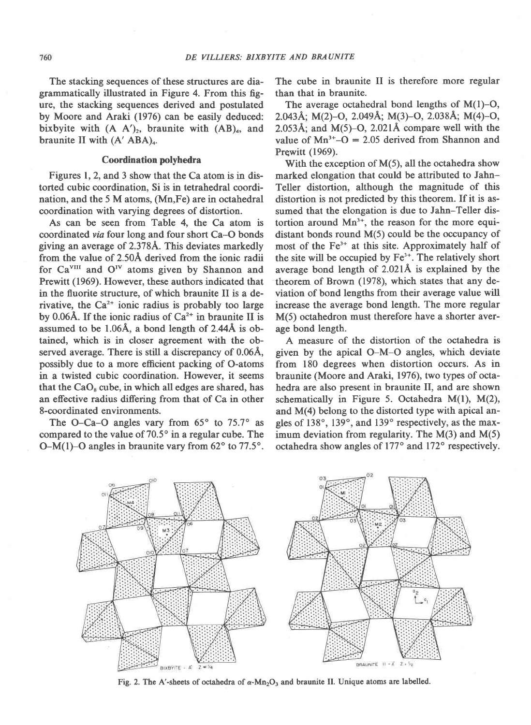The stacking sequences of these structures are diagrammatically illustrated in Figure 4. From this figure, the stacking sequences derived and postulated by Moore and Araki (1976) can be easily deduced: bixbyite with  $(A \ A')_2$ , braunite with  $(AB)_4$ , and braunite II with  $(A'ABA)_4$ .

## Coordination polyhedra

Figures 1,2, and 3 show that the Ca atom is in distorted cubic coordination, Si is in tetrahedral coordination, and the 5 M atoms, (Mn,Fe) are in octahedral coordination with varying degrees of distortion.

As can be seen from Table 4, the Ca atom is coordinated via four long and four short Ca-O bonds giving an average of 2.3784. This deviates markedly from the value of 2.50A derived from the ionic radii for Ca<sup>VIII</sup> and O<sup>IV</sup> atoms given by Shannon and Prewitt (1969). However, these authors indicated that in the fluorite structure, of which braunite II is a derivative, the  $Ca^{2+}$  ionic radius is probably too large by 0.06Å. If the ionic radius of  $Ca^{2+}$  in braunite II is assumed to be 1.06A, a bond length of 2.44A is obtained, which is in closer agreement with the observed average. There is still a discrepancy of 0.06A, possibly due to a more efficient packing of O-atoms in a twisted cubic coordination. However, it seems that the  $CaO<sub>8</sub>$  cube, in which all edges are shared, has an effective radius differing from that of Ca in other 8-coordinated environments.

The O-Ca-O angles vary from  $65^\circ$  to  $75.7^\circ$  as compared to the value of  $70.5^\circ$  in a regular cube. The O-M(1)-O angles in braunite vary from  $62^{\circ}$  to  $77.5^{\circ}$ .

The cube in braunite II is therefore more regular than that in braunite.

The average octahedral bond lengths of  $M(1)-O$ , 2.0a3A; M(2)-O, 2.049A; M(3)-O, 2.038A; M(4)-O, 2.053Å; and  $M(5)-O$ , 2.021Å compare well with the value of  $Mn^{3+}-O = 2.05$  derived from Shannon and Prewitt (1969).

With the exception of  $M(5)$ , all the octahedra show marked elongation that could be attributed to Jahn-Teller distortion, although the magnitude of this distortion is not predicted by this theorem. If it is assumed that the elongation is due to Jahn-Teller distortion around Mn<sup>3+</sup>, the reason for the more equidistant bonds round M(5) could be the occupancy of most of the Fe<sup>3+</sup> at this site. Approximately half of the site will be occupied by Fe<sup>3+</sup>. The relatively short average bond length of 2.021Å is explained by the theorem of Brown (1978), which states that any deviation of bond lengths from their average value will increase the average bond length. The more regular M(5) octahedron must therefore have a shorter average bond length.

A measure of the distortion of the octahedra is given by the apical O-M-O angles, which deviate from 180 degrees when distortion occurs. As in braunite (Moore and Araki, 1976), two types of octahedra are also present in braunite II, and are shown schematically in Figure 5. Octahedra  $M(1)$ ,  $M(2)$ , and M(4) belong to the distorted type with apical angles of  $138^\circ$ ,  $139^\circ$ , and  $139^\circ$  respectively, as the maximum deviation from regularity. The  $M(3)$  and  $M(5)$ octahedra show angles of 177° and 172° respectively.



Fig. 2. The A'-sheets of octahedra of  $\alpha$ -Mn<sub>2</sub>O<sub>3</sub> and braunite II. Unique atoms are labelled.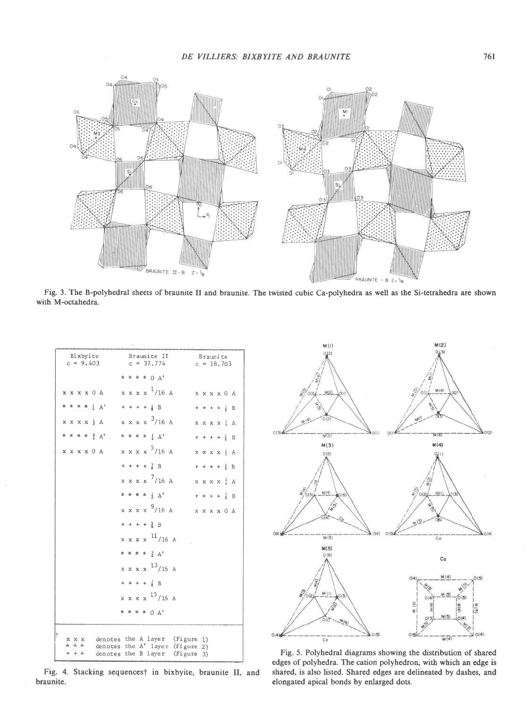



Fig. 3. The B-polyhedral sheets of braunite II and braunite. The twisted cubic Ca-polyhedra as well as the Si-tetrahedra are shown with M-octahedra.

| Bixbyite<br>$c = 9.403$ | Braunite II<br>$c = 37.774$                                       | Braunite<br>$c = 18,703$          |
|-------------------------|-------------------------------------------------------------------|-----------------------------------|
|                         | * * * * 0 A'                                                      |                                   |
| x x x x 0 A             | $x x x x \frac{1}{16}$ A $x x x x 0 A$                            |                                   |
| * * * * * A'            | $+ + + + \frac{1}{8} B$                                           | $+ + + + \frac{1}{2} B$           |
| $x x x x \frac{1}{2} A$ | $x x x x \frac{3}{16}$ A                                          | $X \times X \times \frac{1}{6} A$ |
| * * * * <sup>3</sup> A' | * * * * 1 A'                                                      | $+ + + + \frac{3}{8} B$           |
| x x x x 0 A             | x x x x <sup>5</sup> /16 A                                        | $X X X X$ $A$                     |
|                         | $+ + + + \frac{3}{8} B$                                           | $+ + + + \frac{5}{8} B$           |
|                         | $x x x x$ /16 A                                                   | $x x x x \frac{3}{4} A$           |
|                         | * * * * $\frac{1}{2}$ $A^t$                                       | $+ + + + \frac{7}{8} B$           |
|                         | x x x x <sup>9</sup> /16 A                                        | x x x x 0 A                       |
|                         | $+ + + + \frac{5}{8} B$                                           |                                   |
|                         | $x x x x$ <sup>11</sup> /16 A                                     |                                   |
|                         | * * * * $\frac{3}{2}$ A'                                          |                                   |
|                         | $x x x x$ <sup>13</sup> /16 A                                     |                                   |
|                         | $+ + + + \frac{7}{8} B$                                           |                                   |
|                         | $x x x x^{15}/16 A$                                               |                                   |
|                         | * * * * 0 A'                                                      |                                   |
| X X X<br>* * *          | denotes the A layer (Figure 1)                                    |                                   |
|                         | denotes the A' layer (Figure 2)<br>denotes the B layer (Figure 3) |                                   |

Fig. 4. Stacking sequences† in bixbyite, braunite II, and braunite.



Fig. 5. Polyhedral diagrams showing the distribution of shared edges of polyhedra. The cation polyhedron, with which an edge is shared, is also listed. Shared edges are delineated by dashes, and elongated apical bonds by enlarged dots.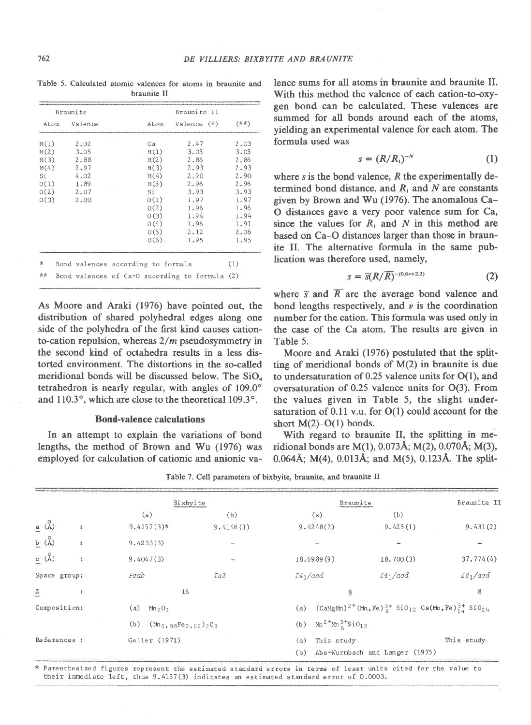|      |          | <b>UIGULIEU LL</b> |               |        |
|------|----------|--------------------|---------------|--------|
|      | Braunite |                    | Braunite II   |        |
| Atom | Valence  | Atom               | Valence $(*)$ | $(**)$ |
| M(1) | 2.02     | Ca                 | 2.47          | 2.03   |
| M(2) | 3.05     | M(1)               | 3.05          | 3.05   |
| M(3) | 2.88     | M(2)               | 2.86          | 2.86   |
| M(4) | 2.97     | M(3)               | 2.93          | 2.93   |
| Sí   | 4.02     | M(4)               | 2,90          | 2.90   |
| O(1) | 1.89     | M(5)               | 2.96          | 2.96   |
| O(2) | 2.07     | Si                 | 3.93          | 3.93   |
| 0(3) | 2.00     | 0(1)               | 1.97          | 1.97   |
|      |          | 0(2)               | 1.96          | 1.96   |
|      |          | 0(3)               | 1.94          | 1.94   |
|      |          | 0(4)               | 1.96          | 1.91   |
|      |          | O(5)               | 2.12          | 2,06   |
|      |          | O(6)               | 1.95          | 1.95   |

Table 5. Calculated atomic valences for atoms in braunite and braunite II

As Moore and Araki (1976) have pointed out, the distribution of shared polyhedral edges along one side of the polyhedra of the first kind causes cationto-cation repulsion, whereas  $2/m$  pseudosymmetry in the second kind of octahedra results in a less distorted environment. The distortions in the so-called meridional bonds will be discussed below. The  $SiO<sub>4</sub>$ tetrahedron is nearly regular, with angles of 109.0° and  $110.3^\circ$ , which are close to the theoretical  $109.3^\circ$ .

### Bond-valence calculations

In an attempt to explain the variations of bond lengths, the method of Brown and Wu (1976) was employed for calculation of cationic and anionic va-

lence sums for all atoms in braunite and braunite II. With this method the valence of each cation-to-oxygen bond can be calculated. These valences are summed for all bonds around each of the atoms, yielding an experimental valence for each atom. The formula used was

$$
s = (R/R_1)^{-N} \tag{1}
$$

where  $s$  is the bond valence,  $R$  the experimentally determined bond distance, and  $R<sub>i</sub>$  and N are constants given by Brown and Wu (1976). The anomalous Ca-O distances gave a very poor valence sum for Ca, since the values for  $R_1$  and N in this method are based on Ca-O distances larger than those in braunite II. The alternative formula in the same publication was therefore used, namely,

$$
s = \overline{s}(R/\overline{R})^{-(0.6\nu+2.2)}
$$
 (2)

where  $\bar{s}$  and  $\bar{R}$  are the average bond valence and bond lengths respectively, and  $\nu$  is the coordination number for the cation. This formula was used only in the case of the Ca atom. The results are given in Table 5.

Moore and Araki (1976) postulated that the splitting of meridional bonds of M(2) in braunite is due to undersaturation of  $0.25$  valence units for  $O(1)$ , and oversaturation of 0.25 valence units for O(3). From the values given in Table 5, the slight undersaturation of  $0.11$  v.u. for  $O(1)$  could account for the short  $M(2)$ –O(1) bonds.

With regard to braunite II, the splitting in meridional bonds are M(l), 0.073A; M(2), 0.070A; M(3), 0.064Å;  $M(4)$ , 0.013Å; and  $M(5)$ , 0.123Å. The split-

Table 7. Cell parameters of bixbyite, braunite, and braunite II

|                                                           |              | Bixbyite                       |           |            | Braunite                       |                                                                                                          | Braunite II |
|-----------------------------------------------------------|--------------|--------------------------------|-----------|------------|--------------------------------|----------------------------------------------------------------------------------------------------------|-------------|
|                                                           | (a)          |                                | (b)       |            | (a)                            | (b)                                                                                                      |             |
| $\underline{a}$ $\stackrel{O}{(A)}$<br>$\hat{\mathbf{a}}$ | $9.4157(3)*$ |                                | 9.4146(1) |            | 9.4248(2)                      | 9.425(1)                                                                                                 | 9.431(2)    |
| $b$ (A)<br>$\ddot{\phantom{a}}$                           | 9.4233(3)    |                                |           |            |                                |                                                                                                          |             |
| C(A)<br>$\frac{9}{9}$                                     | 9.4047(3)    |                                |           |            | 18.6989(9)                     | 18.700(3)                                                                                                | 37.774(4)   |
| Space group:                                              | Peab         | Ia3                            |           | $I4_1/acd$ |                                | $I4_1/acd$                                                                                               | $I4_1/acd$  |
| $\mathbb{Z}$<br>$\ddot{\tilde{}}$                         |              | 16                             |           |            | 8                              |                                                                                                          | 8           |
| Composition:                                              | (a)          | Mn <sub>2</sub> 0 <sub>3</sub> |           | (a)        |                                | $(CaMgMn)^{2}$ <sup>+</sup> $(Mn, Fe)^{3+}$ SiO <sub>12</sub> Ca(Mn, Fe) <sup>3+</sup> SiO <sub>24</sub> |             |
|                                                           | (b)          | $(Mn_0, 98Fe_0, 02)$ 203       |           |            | (b) $Mn^{2+}Mn^{3+}SiO_{12}$   |                                                                                                          |             |
| References :                                              |              | Geller (1971)                  |           | (a)        | This study                     |                                                                                                          | This study  |
|                                                           |              |                                |           | (b)        | Abs-Wurmbach and Langer (1975) |                                                                                                          |             |

Parenthesized figures represent the estimated standard errors in terms of least units cited for the value to their immediate left, thus 9.4157(3) indicates an estimated standard error of 0.0003.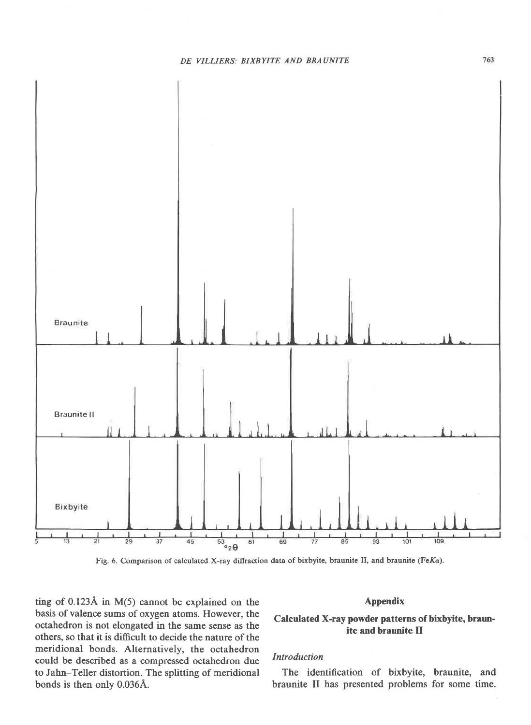

Fig. 6. Comparison of calculated X-ray diffraction data of bixbyite, braunite II, and braunite (FeKa).

ting of 0.123A in M(5) cannot be explained on the basis of valence sums of oxygen atoms. However, the octahedron is not elongated in the same sense as the others, so that it is difrcult to decide the nature of the meridional bonds. Alternatively, the octahedron could be described as a compressed octahedron due to Jahn-Teller distortion. The splitting of meridional bonds is then onlv 0.036A.

## Appendix

# Calculated X-ray powder patterns of bixbyite, braunite and braunite II

## Introduction

The identification of bixbyite, braunite, and braunite II has presented problems for some time.

763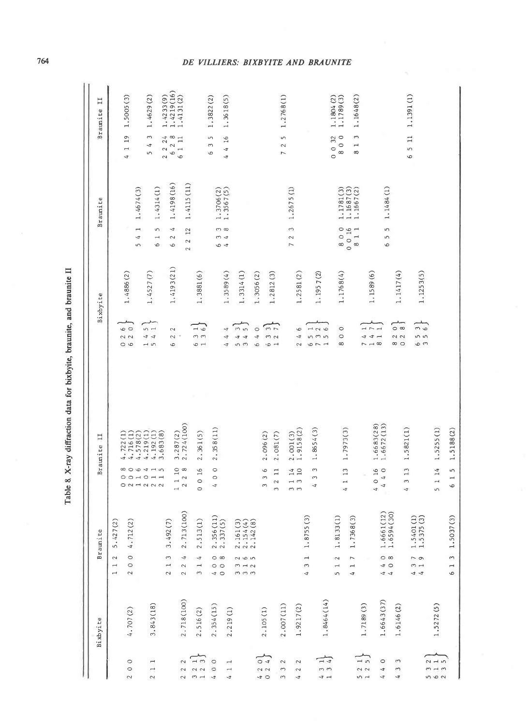|                          | Bixbyite   | <b>Braunite</b>                                         |                                      |                                                                                 | $\overline{11}$<br>Braunite      |                                                                                       | Bixbyite   | <b>Braunite</b>                                        |                                                                      | 11<br>Braunite           |
|--------------------------|------------|---------------------------------------------------------|--------------------------------------|---------------------------------------------------------------------------------|----------------------------------|---------------------------------------------------------------------------------------|------------|--------------------------------------------------------|----------------------------------------------------------------------|--------------------------|
|                          |            | $\sim$<br>$\overline{\phantom{0}}$<br>$\overline{a}$    | 5.427(2)                             |                                                                                 |                                  |                                                                                       |            |                                                        |                                                                      |                          |
| $\circ$                  | 4.707(2)   | $\circ$<br>$\circ$<br>$\sim$                            | 4.712 (2                             |                                                                                 | 4.722(1)<br>4.716(1)<br>4.578(2) | $\circ$<br>$\sim$ $\sim$<br>$\circ$                                                   | 1.4886(2)  | 1.4674(3)<br>$\overline{ }$<br>Þ<br>S                  | $\overline{19}$<br>$\overline{a}$<br>$\overline{t}$                  | 1,5005(3)                |
| $\overline{ }$           | 3.843(18)  |                                                         |                                      | 806415<br>$\circ \circ \neg \circ \neg \neg$<br>$0$ $0$ $0$ $0$ $0$ $0$ $0$ $0$ | 4.192(1)<br>4.219(1)<br>3.683(8) | $\sqrt{2}$<br>$\frac{4}{4}$<br>$\overline{1}$                                         | 1.4527(7)  | 1.4314(1)<br>S<br>$\overline{\phantom{0}}$<br>$\circ$  | $\sim$<br>4<br>$\sqrt{2}$                                            | 1.4629(2)                |
|                          |            | S<br>$\overline{\phantom{0}}$<br>$\sim$                 | 3.492(7)                             |                                                                                 |                                  | $\sim$<br>$\sim$<br>$\circ$                                                           | 1.4193(21) | 1.4198(16)<br>4<br>2<br>$\mathsf \omega$               | $\begin{array}{c} 24 \\ 28 \end{array}$<br>2 <sup>2</sup><br>$\circ$ | 1.4219(16)<br>1.4233(9)  |
| 2                        | 2.718(100) | F<br>$\sim$<br>$\sim$                                   | 2.713(100)                           | $\begin{array}{c} 1 & 1 & 10 \\ 2 & 2 & 8 \end{array}$                          | 2.724(100)<br>3.287(2)           |                                                                                       |            | 1.4115(11)<br>12<br>2<br>2                             | 6 1 11                                                               | 1.4131(2)                |
| $\rightarrow$ $\sim$     | 2.516(2)   | 4<br>$\overline{\phantom{0}}$<br>$\sim$                 | 2.513(1)                             | 0 16<br>$\circ$                                                                 | 2.361(5)                         | $\overline{a}$<br>$\sigma$ $\sigma$<br>$\frac{1}{2}$                                  | 1.3881(6)  |                                                        |                                                                      |                          |
| $\circ$                  | 2.354(15)  | $\circ$ $\infty$<br>$\circ$<br>$\overline{4}$ O         | $2.356(11)$<br>$2.337(5)$            | $\circ$<br>$\circ$<br>¢                                                         | 2.358(11)                        |                                                                                       |            | 1.3706(2)<br>$\infty$<br>3<br>4                        | S<br>3<br>O                                                          | 1.3822(2)                |
| $\overline{\phantom{0}}$ | 2.219(1)   |                                                         |                                      |                                                                                 |                                  | 4<br>4<br>-4                                                                          | 1.3589(4)  | 1.3567(5)<br>4                                         | $\mathcal{G}^{\dagger}$<br>4<br>4                                    | 1.3618(5)                |
|                          |            | 265<br>$m - 1$<br>$m \, m \, m$                         | 2.161(3)<br>$2.154(4)$<br>$2.142(8)$ |                                                                                 |                                  | m <sub>5</sub><br>$\rightarrow$<br>₹<br>$\sim$<br>in                                  | 1.3314(1)  |                                                        |                                                                      |                          |
|                          |            |                                                         |                                      |                                                                                 |                                  | $\circ$<br>$\triangleleft$<br>G                                                       | 1.3056(2)  |                                                        |                                                                      |                          |
| $\circ$ 4                | 2.105(1)   |                                                         |                                      | $\circ$<br>$\Box$<br>C)<br>2<br>3<br>$\infty$                                   | 2.081(7)<br>2.096(2)             | $n -$<br>$m$ $\sim$<br>$\circ$ $\rightarrow$                                          | 1.2812(3)  |                                                        |                                                                      |                          |
| $\sim$                   | 2.007(11)  |                                                         |                                      |                                                                                 |                                  |                                                                                       |            |                                                        | S<br>2<br>$\overline{ }$                                             | 1.2768(1)                |
| $\sim$                   | 1.9217(2)  |                                                         |                                      | 14<br>10<br>$\overline{a}$<br>$\frac{1}{2}$                                     | 1.9158(2)<br>2.001(3)            | $\circ$<br>ᅿ<br>2                                                                     | 1.2581(2)  | 1.2675(1)<br>3<br>$\sim$<br>$\overline{ }$             |                                                                      |                          |
| $\frac{1}{4}$            | 1.8464(14) | $\overline{\phantom{0}}$<br>3<br>4                      | 1.8755(3)                            | 3<br>$\sim$<br>$\overline{a}$                                                   | 1.8654(3)                        | 126<br>n m in<br>$\sim$ $-$<br>9                                                      | 1.1957(2)  |                                                        |                                                                      |                          |
|                          |            | $\sim$<br>$\overline{\phantom{0}}$<br>S                 | 1.8133(1)                            |                                                                                 |                                  |                                                                                       |            |                                                        | $\begin{smallmatrix}0&0&32\\8&0&0\end{smallmatrix}$                  | 1.1804 (2)<br>1.1789 (3) |
|                          |            | 7<br>$\rightarrow$<br>¢                                 | $\widehat{\sigma}$<br>1.7368(        | 113<br>4                                                                        | 1.7973(3)                        | $\circ$<br>$\circ$<br>${}^{\circ}$                                                    | 1.1768(4)  | $1.1687(3)$<br>$1.1667(2)$<br>1.1781(3)<br>800<br>0016 |                                                                      |                          |
| $-5$                     | 1.7189(3)  |                                                         |                                      |                                                                                 |                                  | I<br>4                                                                                |            | 811                                                    | 3<br>$\blacksquare$<br>$\infty$                                      | 1.1648(2)                |
| $\circ$                  | 1.6643(37) | $\circ$ $\circ$<br>$\frac{4}{2}$<br>$\frac{4}{5}$       | $1.6661(12)$<br>$1.6594(30)$         | 4 0 16<br>$\circ$<br>$\triangleleft$<br>$\ddot{ }$                              | 1.6672(13)<br>1.6683(28)         | $\overline{\phantom{a}}$<br>$\overline{\phantom{0}}$<br>$+ -$<br>$\rightarrow \infty$ | 1.1589(6)  | 1.1484(1)<br>S<br>S<br>G                               |                                                                      |                          |
| S                        | 1.6146(2)  |                                                         |                                      |                                                                                 |                                  | $\circ$ $\infty$<br>$\sim$ $\sim$<br>$\infty$ $\circ$                                 | 1.1417(4)  |                                                        |                                                                      |                          |
|                          |            | $\sim$ $\circ$<br>$\sim$ $\rightarrow$<br>$\frac{4}{5}$ | 1.5401(1)<br>1.5375(3)               | 13<br>$\infty$<br>4                                                             | 1.5821(1)                        | $\frac{3}{2}$<br>n n<br>$\circ$ m                                                     | 1.1253(5)  |                                                        | 5 <sub>11</sub><br>6                                                 | 1.1391(1)                |
| $-11$<br>2               | 1.5272(5)  |                                                         |                                      | 14<br>$\rightarrow$<br>$\sqrt{2}$                                               | 1.5255(1)                        |                                                                                       |            |                                                        |                                                                      |                          |
|                          |            | 613                                                     | 1.5037(3)                            | S<br>61                                                                         | 1.5188(2)                        |                                                                                       |            |                                                        |                                                                      |                          |

Table 8. X-ray diffraction data for bixbyite, braunite, and braunite II

764

## DE VILLIERS: BIXBYITE AND BRAUNITE